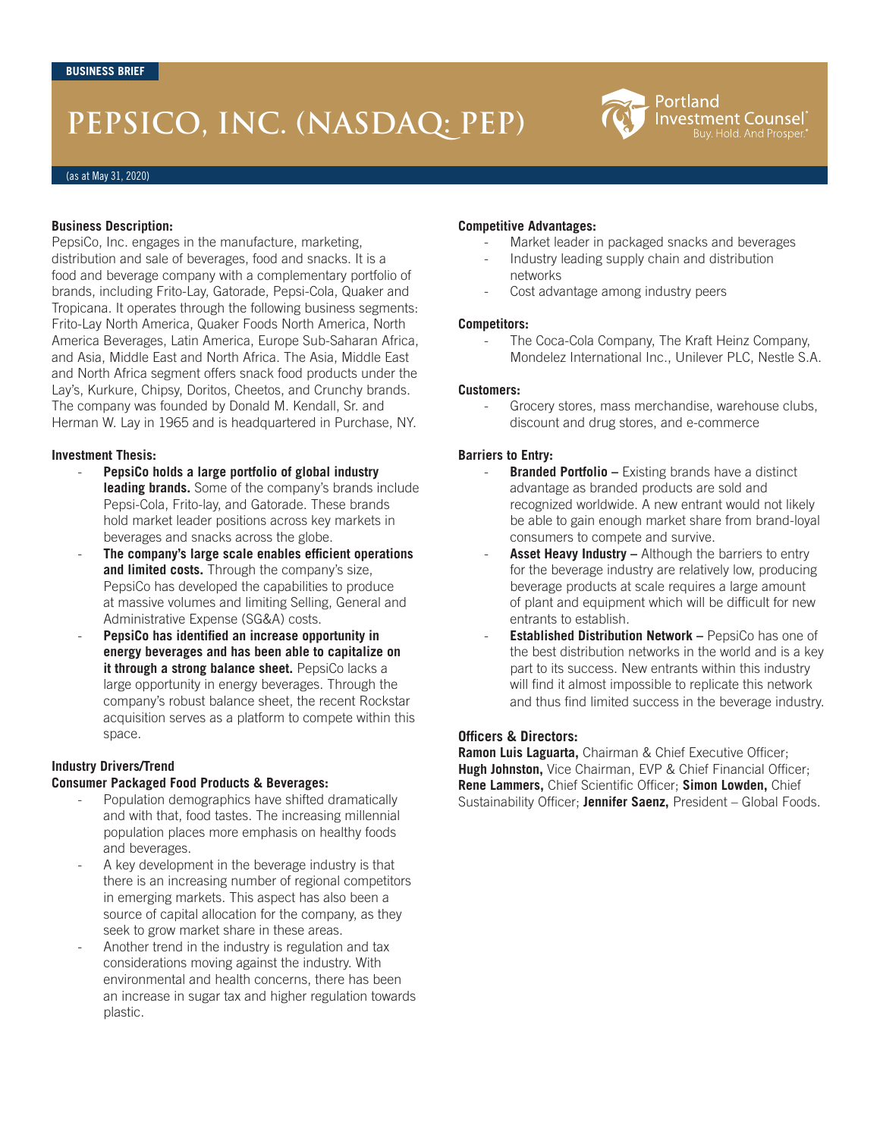# **PEPSICO, INC. (NASDAQ: PEP)**



(as at May 31, 2020)

#### **Business Description:**

PepsiCo, Inc. engages in the manufacture, marketing, distribution and sale of beverages, food and snacks. It is a food and beverage company with a complementary portfolio of brands, including Frito-Lay, Gatorade, Pepsi-Cola, Quaker and Tropicana. It operates through the following business segments: Frito-Lay North America, Quaker Foods North America, North America Beverages, Latin America, Europe Sub-Saharan Africa, and Asia, Middle East and North Africa. The Asia, Middle East and North Africa segment offers snack food products under the Lay's, Kurkure, Chipsy, Doritos, Cheetos, and Crunchy brands. The company was founded by Donald M. Kendall, Sr. and Herman W. Lay in 1965 and is headquartered in Purchase, NY.

#### **Investment Thesis:**

- **PepsiCo holds a large portfolio of global industry leading brands.** Some of the company's brands include Pepsi-Cola, Frito-lay, and Gatorade. These brands hold market leader positions across key markets in beverages and snacks across the globe.
- **The company's large scale enables efficient operations and limited costs.** Through the company's size, PepsiCo has developed the capabilities to produce at massive volumes and limiting Selling, General and Administrative Expense (SG&A) costs.
- **PepsiCo has identified an increase opportunity in energy beverages and has been able to capitalize on it through a strong balance sheet.** PepsiCo lacks a large opportunity in energy beverages. Through the company's robust balance sheet, the recent Rockstar acquisition serves as a platform to compete within this space.

## **Industry Drivers/Trend**

#### **Consumer Packaged Food Products & Beverages:**

- Population demographics have shifted dramatically and with that, food tastes. The increasing millennial population places more emphasis on healthy foods and beverages.
- A key development in the beverage industry is that there is an increasing number of regional competitors in emerging markets. This aspect has also been a source of capital allocation for the company, as they seek to grow market share in these areas.
- Another trend in the industry is regulation and tax considerations moving against the industry. With environmental and health concerns, there has been an increase in sugar tax and higher regulation towards plastic.

#### **Competitive Advantages:**

- Market leader in packaged snacks and beverages
- Industry leading supply chain and distribution networks
- Cost advantage among industry peers

#### **Competitors:**

The Coca-Cola Company, The Kraft Heinz Company, Mondelez International Inc., Unilever PLC, Nestle S.A.

#### **Customers:**

Grocery stores, mass merchandise, warehouse clubs, discount and drug stores, and e-commerce

## **Barriers to Entry:**

- **Branded Portfolio –** Existing brands have a distinct advantage as branded products are sold and recognized worldwide. A new entrant would not likely be able to gain enough market share from brand-loyal consumers to compete and survive.
- Asset Heavy Industry Although the barriers to entry for the beverage industry are relatively low, producing beverage products at scale requires a large amount of plant and equipment which will be difficult for new entrants to establish.
- **Established Distribution Network** PepsiCo has one of the best distribution networks in the world and is a key part to its success. New entrants within this industry will find it almost impossible to replicate this network and thus find limited success in the beverage industry.

## **Officers & Directors:**

**Ramon Luis Laguarta,** Chairman & Chief Executive Officer; **Hugh Johnston,** Vice Chairman, EVP & Chief Financial Officer; **Rene Lammers,** Chief Scientific Officer; **Simon Lowden,** Chief Sustainability Officer; **Jennifer Saenz,** President – Global Foods.